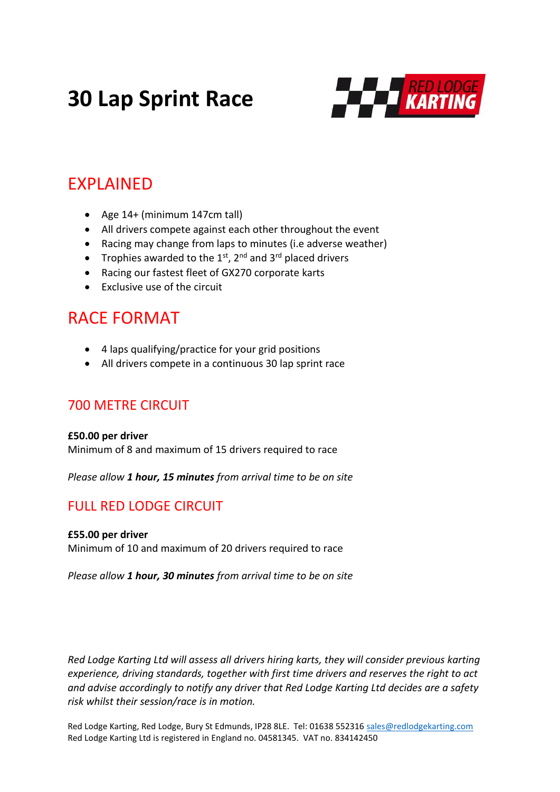# **30 Lap Sprint Race**



## EXPLAINED

- Age 14+ (minimum 147cm tall)
- All drivers compete against each other throughout the event
- Racing may change from laps to minutes (i.e adverse weather)
- Trophies awarded to the  $1^{st}$ ,  $2^{nd}$  and  $3^{rd}$  placed drivers
- Racing our fastest fleet of GX270 corporate karts
- Exclusive use of the circuit

# RACE FORMAT

- 4 laps qualifying/practice for your grid positions
- All drivers compete in a continuous 30 lap sprint race

### 700 METRE CIRCUIT

#### **£50.00 per driver**

Minimum of 8 and maximum of 15 drivers required to race

*Please allow 1 hour, 15 minutes from arrival time to be on site*

## FULL RED LODGE CIRCUIT

#### **£55.00 per driver**

Minimum of 10 and maximum of 20 drivers required to race

*Please allow 1 hour, 30 minutes from arrival time to be on site*

*Red Lodge Karting Ltd will assess all drivers hiring karts, they will consider previous karting experience, driving standards, together with first time drivers and reserves the right to act and advise accordingly to notify any driver that Red Lodge Karting Ltd decides are a safety risk whilst their session/race is in motion.*

Red Lodge Karting, Red Lodge, Bury St Edmunds, IP28 8LE. Tel: 01638 552316 [sales@redlodgekarting.com](mailto:sales@redlodgekarting.com) Red Lodge Karting Ltd is registered in England no. 04581345. VAT no. 834142450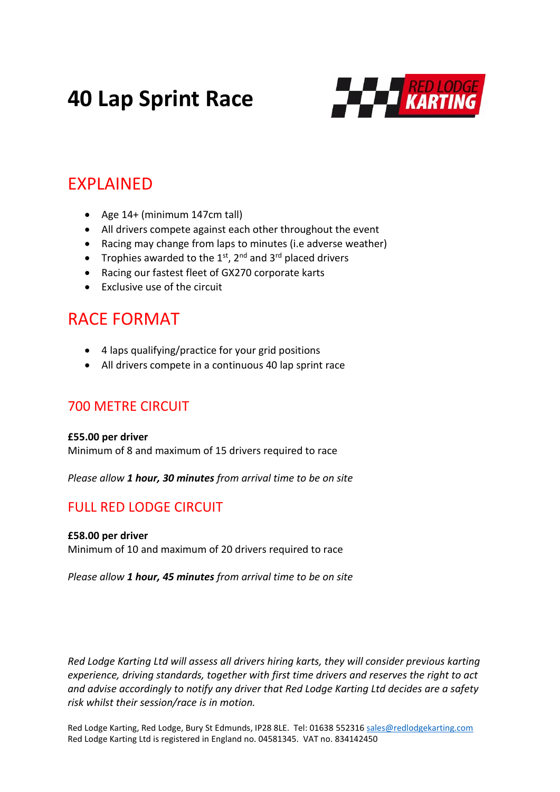# **40 Lap Sprint Race**



## EXPLAINED

- Age 14+ (minimum 147cm tall)
- All drivers compete against each other throughout the event
- Racing may change from laps to minutes (i.e adverse weather)
- Trophies awarded to the  $1^{st}$ ,  $2^{nd}$  and  $3^{rd}$  placed drivers
- Racing our fastest fleet of GX270 corporate karts
- Exclusive use of the circuit

## RACE FORMAT

- 4 laps qualifying/practice for your grid positions
- All drivers compete in a continuous 40 lap sprint race

### 700 METRE CIRCUIT

## **£55.00 per driver**

Minimum of 8 and maximum of 15 drivers required to race

*Please allow 1 hour, 30 minutes from arrival time to be on site*

## FULL RED LODGE CIRCUIT

#### **£58.00 per driver**

Minimum of 10 and maximum of 20 drivers required to race

*Please allow 1 hour, 45 minutes from arrival time to be on site*

*Red Lodge Karting Ltd will assess all drivers hiring karts, they will consider previous karting experience, driving standards, together with first time drivers and reserves the right to act and advise accordingly to notify any driver that Red Lodge Karting Ltd decides are a safety risk whilst their session/race is in motion.*

Red Lodge Karting, Red Lodge, Bury St Edmunds, IP28 8LE. Tel: 01638 552316 [sales@redlodgekarting.com](mailto:sales@redlodgekarting.com) Red Lodge Karting Ltd is registered in England no. 04581345. VAT no. 834142450